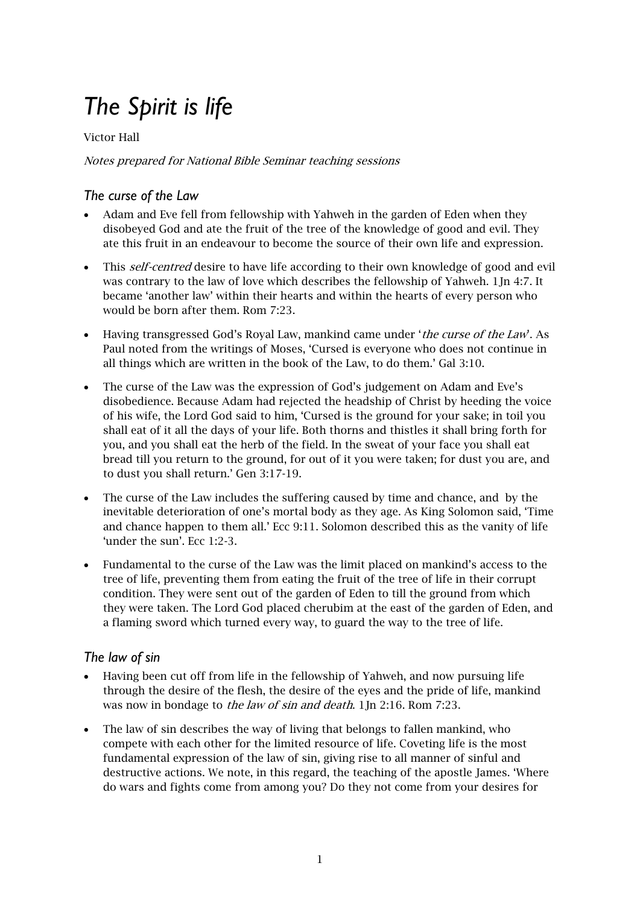# *The Spirit is life*

#### Victor Hall

#### Notes prepared for National Bible Seminar teaching sessions

# *The curse of the Law*

- Adam and Eve fell from fellowship with Yahweh in the garden of Eden when they disobeyed God and ate the fruit of the tree of the knowledge of good and evil. They ate this fruit in an endeavour to become the source of their own life and expression.
- This *self-centred* desire to have life according to their own knowledge of good and evil was contrary to the law of love which describes the fellowship of Yahweh. 1Jn 4:7. It became 'another law' within their hearts and within the hearts of every person who would be born after them. Rom 7:23.
- Having transgressed God's Royal Law, mankind came under 'the curse of the Law'. As Paul noted from the writings of Moses, 'Cursed is everyone who does not continue in all things which are written in the book of the Law, to do them.' Gal 3:10.
- The curse of the Law was the expression of God's judgement on Adam and Eve's disobedience. Because Adam had rejected the headship of Christ by heeding the voice of his wife, the Lord God said to him, 'Cursed is the ground for your sake; in toil you shall eat of it all the days of your life. Both thorns and thistles it shall bring forth for you, and you shall eat the herb of the field. In the sweat of your face you shall eat bread till you return to the ground, for out of it you were taken; for dust you are, and to dust you shall return.' Gen 3:17-19.
- The curse of the Law includes the suffering caused by time and chance, and by the inevitable deterioration of one's mortal body as they age. As King Solomon said, 'Time and chance happen to them all.' Ecc 9:11. Solomon described this as the vanity of life 'under the sun'. Ecc 1:2-3.
- Fundamental to the curse of the Law was the limit placed on mankind's access to the tree of life, preventing them from eating the fruit of the tree of life in their corrupt condition. They were sent out of the garden of Eden to till the ground from which they were taken. The Lord God placed cherubim at the east of the garden of Eden, and a flaming sword which turned every way, to guard the way to the tree of life.

# *The law of sin*

- Having been cut off from life in the fellowship of Yahweh, and now pursuing life through the desire of the flesh, the desire of the eyes and the pride of life, mankind was now in bondage to the law of sin and death. 1Jn 2:16. Rom 7:23.
- The law of sin describes the way of living that belongs to fallen mankind, who compete with each other for the limited resource of life. Coveting life is the most fundamental expression of the law of sin, giving rise to all manner of sinful and destructive actions. We note, in this regard, the teaching of the apostle James. 'Where do wars and fights come from among you? Do they not come from your desires for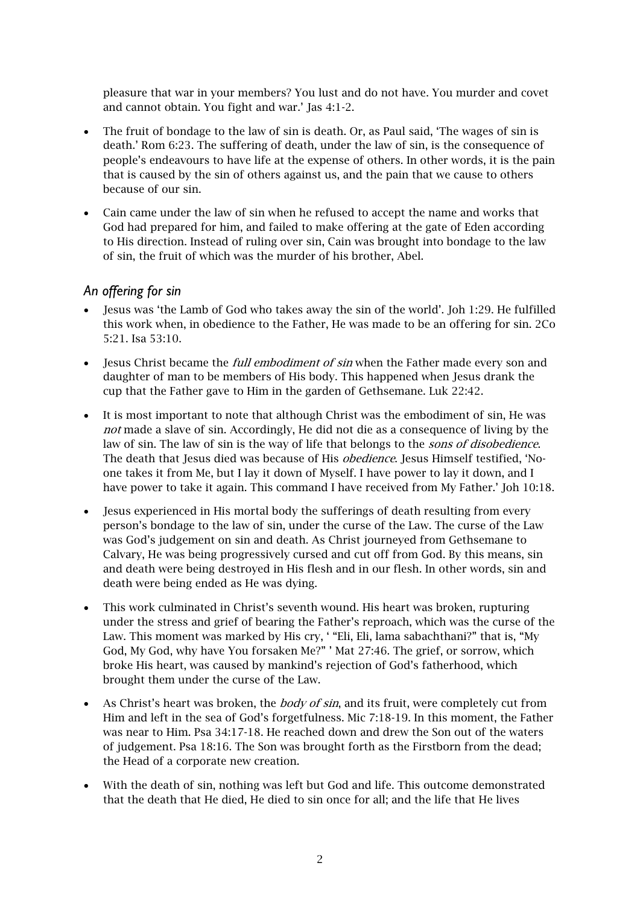pleasure that war in your members? You lust and do not have. You murder and covet and cannot obtain. You fight and war.' Jas 4:1-2.

- The fruit of bondage to the law of sin is death. Or, as Paul said, 'The wages of sin is death.' Rom 6:23. The suffering of death, under the law of sin, is the consequence of people's endeavours to have life at the expense of others. In other words, it is the pain that is caused by the sin of others against us, and the pain that we cause to others because of our sin.
- Cain came under the law of sin when he refused to accept the name and works that God had prepared for him, and failed to make offering at the gate of Eden according to His direction. Instead of ruling over sin, Cain was brought into bondage to the law of sin, the fruit of which was the murder of his brother, Abel.

#### *An offering for sin*

- Jesus was 'the Lamb of God who takes away the sin of the world'. Joh 1:29. He fulfilled this work when, in obedience to the Father, He was made to be an offering for sin. 2Co 5:21. Isa 53:10.
- Jesus Christ became the *full embodiment of sin* when the Father made every son and daughter of man to be members of His body. This happened when Jesus drank the cup that the Father gave to Him in the garden of Gethsemane. Luk 22:42.
- It is most important to note that although Christ was the embodiment of sin, He was not made a slave of sin. Accordingly, He did not die as a consequence of living by the law of sin. The law of sin is the way of life that belongs to the *sons of disobedience*. The death that Jesus died was because of His obedience. Jesus Himself testified, 'Noone takes it from Me, but I lay it down of Myself. I have power to lay it down, and I have power to take it again. This command I have received from My Father.' Joh 10:18.
- Jesus experienced in His mortal body the sufferings of death resulting from every person's bondage to the law of sin, under the curse of the Law. The curse of the Law was God's judgement on sin and death. As Christ journeyed from Gethsemane to Calvary, He was being progressively cursed and cut off from God. By this means, sin and death were being destroyed in His flesh and in our flesh. In other words, sin and death were being ended as He was dying.
- This work culminated in Christ's seventh wound. His heart was broken, rupturing under the stress and grief of bearing the Father's reproach, which was the curse of the Law. This moment was marked by His cry, ' "Eli, Eli, lama sabachthani?" that is, "My God, My God, why have You forsaken Me?" ' Mat 27:46. The grief, or sorrow, which broke His heart, was caused by mankind's rejection of God's fatherhood, which brought them under the curse of the Law.
- As Christ's heart was broken, the *body of sin*, and its fruit, were completely cut from Him and left in the sea of God's forgetfulness. Mic 7:18-19. In this moment, the Father was near to Him. Psa 34:17-18. He reached down and drew the Son out of the waters of judgement. Psa 18:16. The Son was brought forth as the Firstborn from the dead; the Head of a corporate new creation.
- With the death of sin, nothing was left but God and life. This outcome demonstrated that the death that He died, He died to sin once for all; and the life that He lives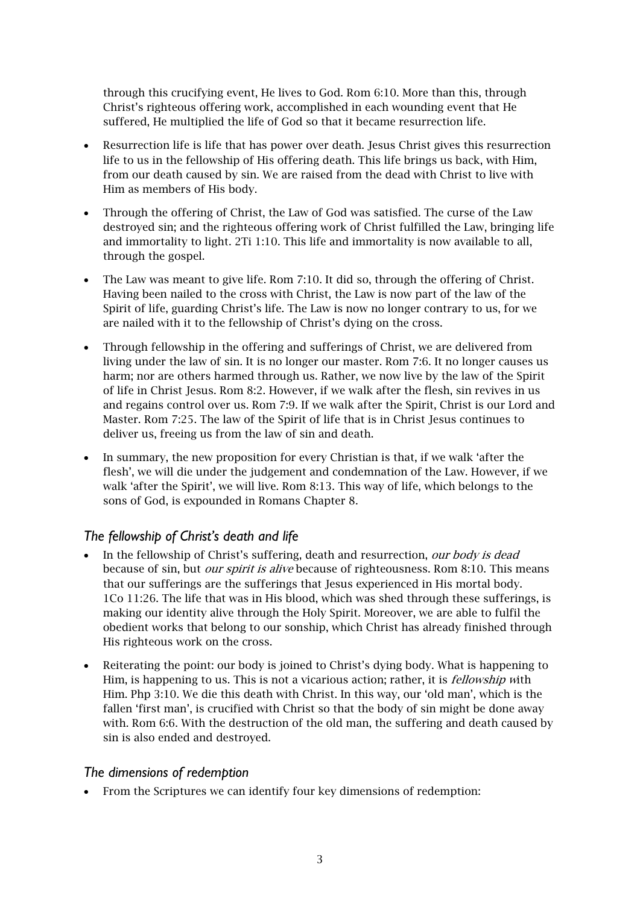through this crucifying event, He lives to God. Rom 6:10. More than this, through Christ's righteous offering work, accomplished in each wounding event that He suffered, He multiplied the life of God so that it became resurrection life.

- Resurrection life is life that has power over death. Jesus Christ gives this resurrection life to us in the fellowship of His offering death. This life brings us back, with Him, from our death caused by sin. We are raised from the dead with Christ to live with Him as members of His body.
- Through the offering of Christ, the Law of God was satisfied. The curse of the Law destroyed sin; and the righteous offering work of Christ fulfilled the Law, bringing life and immortality to light. 2Ti 1:10. This life and immortality is now available to all, through the gospel.
- The Law was meant to give life. Rom 7:10. It did so, through the offering of Christ. Having been nailed to the cross with Christ, the Law is now part of the law of the Spirit of life, guarding Christ's life. The Law is now no longer contrary to us, for we are nailed with it to the fellowship of Christ's dying on the cross.
- Through fellowship in the offering and sufferings of Christ, we are delivered from living under the law of sin. It is no longer our master. Rom 7:6. It no longer causes us harm; nor are others harmed through us. Rather, we now live by the law of the Spirit of life in Christ Jesus. Rom 8:2. However, if we walk after the flesh, sin revives in us and regains control over us. Rom 7:9. If we walk after the Spirit, Christ is our Lord and Master. Rom 7:25. The law of the Spirit of life that is in Christ Jesus continues to deliver us, freeing us from the law of sin and death.
- In summary, the new proposition for every Christian is that, if we walk 'after the flesh', we will die under the judgement and condemnation of the Law. However, if we walk 'after the Spirit', we will live. Rom 8:13. This way of life, which belongs to the sons of God, is expounded in Romans Chapter 8.

# *The fellowship of Christ's death and life*

- In the fellowship of Christ's suffering, death and resurrection, our body is dead because of sin, but our spirit is alive because of righteousness. Rom 8:10. This means that our sufferings are the sufferings that Jesus experienced in His mortal body. 1Co 11:26. The life that was in His blood, which was shed through these sufferings, is making our identity alive through the Holy Spirit. Moreover, we are able to fulfil the obedient works that belong to our sonship, which Christ has already finished through His righteous work on the cross.
- Reiterating the point: our body is joined to Christ's dying body. What is happening to Him, is happening to us. This is not a vicarious action; rather, it is *fellowship* with Him. Php 3:10. We die this death with Christ. In this way, our 'old man', which is the fallen 'first man', is crucified with Christ so that the body of sin might be done away with. Rom 6:6. With the destruction of the old man, the suffering and death caused by sin is also ended and destroyed.

## *The dimensions of redemption*

• From the Scriptures we can identify four key dimensions of redemption: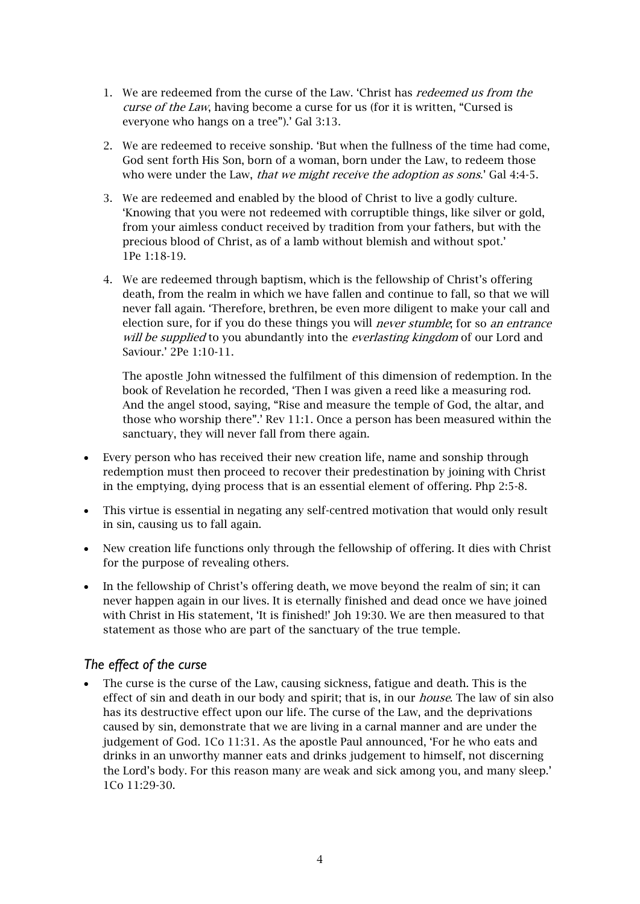- 1. We are redeemed from the curse of the Law. 'Christ has redeemed us from the curse of the Law, having become a curse for us (for it is written, "Cursed is everyone who hangs on a tree").' Gal 3:13.
- 2. We are redeemed to receive sonship. 'But when the fullness of the time had come, God sent forth His Son, born of a woman, born under the Law, to redeem those who were under the Law, *that we might receive the adoption as sons*.' Gal 4:4-5.
- 3. We are redeemed and enabled by the blood of Christ to live a godly culture. 'Knowing that you were not redeemed with corruptible things, like silver or gold, from your aimless conduct received by tradition from your fathers, but with the precious blood of Christ, as of a lamb without blemish and without spot.' 1Pe 1:18-19.
- 4. We are redeemed through baptism, which is the fellowship of Christ's offering death, from the realm in which we have fallen and continue to fall, so that we will never fall again. 'Therefore, brethren, be even more diligent to make your call and election sure, for if you do these things you will *never stumble*; for so *an entrance* will be supplied to you abundantly into the everlasting kingdom of our Lord and Saviour.' 2Pe 1:10-11.

The apostle John witnessed the fulfilment of this dimension of redemption. In the book of Revelation he recorded, 'Then I was given a reed like a measuring rod. And the angel stood, saying, "Rise and measure the temple of God, the altar, and those who worship there".' Rev 11:1. Once a person has been measured within the sanctuary, they will never fall from there again.

- Every person who has received their new creation life, name and sonship through redemption must then proceed to recover their predestination by joining with Christ in the emptying, dying process that is an essential element of offering. Php 2:5-8.
- This virtue is essential in negating any self-centred motivation that would only result in sin, causing us to fall again.
- New creation life functions only through the fellowship of offering. It dies with Christ for the purpose of revealing others.
- In the fellowship of Christ's offering death, we move beyond the realm of sin; it can never happen again in our lives. It is eternally finished and dead once we have joined with Christ in His statement, 'It is finished!' Joh 19:30. We are then measured to that statement as those who are part of the sanctuary of the true temple.

# *The effect of the curse*

The curse is the curse of the Law, causing sickness, fatigue and death. This is the effect of sin and death in our body and spirit; that is, in our *house*. The law of sin also has its destructive effect upon our life. The curse of the Law, and the deprivations caused by sin, demonstrate that we are living in a carnal manner and are under the judgement of God. 1Co 11:31. As the apostle Paul announced, 'For he who eats and drinks in an unworthy manner eats and drinks judgement to himself, not discerning the Lord's body. For this reason many are weak and sick among you, and many sleep.' 1Co 11:29-30.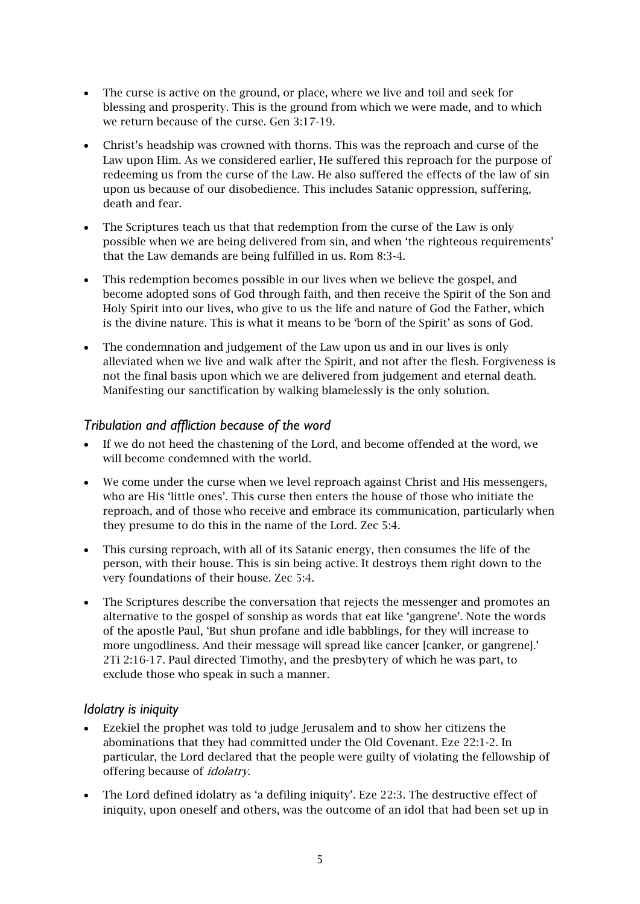- The curse is active on the ground, or place, where we live and toil and seek for blessing and prosperity. This is the ground from which we were made, and to which we return because of the curse. Gen 3:17-19.
- Christ's headship was crowned with thorns. This was the reproach and curse of the Law upon Him. As we considered earlier, He suffered this reproach for the purpose of redeeming us from the curse of the Law. He also suffered the effects of the law of sin upon us because of our disobedience. This includes Satanic oppression, suffering, death and fear.
- The Scriptures teach us that that redemption from the curse of the Law is only possible when we are being delivered from sin, and when 'the righteous requirements' that the Law demands are being fulfilled in us. Rom 8:3-4.
- This redemption becomes possible in our lives when we believe the gospel, and become adopted sons of God through faith, and then receive the Spirit of the Son and Holy Spirit into our lives, who give to us the life and nature of God the Father, which is the divine nature. This is what it means to be 'born of the Spirit' as sons of God.
- The condemnation and judgement of the Law upon us and in our lives is only alleviated when we live and walk after the Spirit, and not after the flesh. Forgiveness is not the final basis upon which we are delivered from judgement and eternal death. Manifesting our sanctification by walking blamelessly is the only solution.

## *Tribulation and affliction because of the word*

- If we do not heed the chastening of the Lord, and become offended at the word, we will become condemned with the world.
- We come under the curse when we level reproach against Christ and His messengers, who are His 'little ones'. This curse then enters the house of those who initiate the reproach, and of those who receive and embrace its communication, particularly when they presume to do this in the name of the Lord. Zec 5:4.
- This cursing reproach, with all of its Satanic energy, then consumes the life of the person, with their house. This is sin being active. It destroys them right down to the very foundations of their house. Zec 5:4.
- The Scriptures describe the conversation that rejects the messenger and promotes an alternative to the gospel of sonship as words that eat like 'gangrene'. Note the words of the apostle Paul, 'But shun profane and idle babblings, for they will increase to more ungodliness. And their message will spread like cancer [canker, or gangrene].' 2Ti 2:16-17. Paul directed Timothy, and the presbytery of which he was part, to exclude those who speak in such a manner.

## *Idolatry is iniquity*

- Ezekiel the prophet was told to judge Jerusalem and to show her citizens the abominations that they had committed under the Old Covenant. Eze 22:1-2. In particular, the Lord declared that the people were guilty of violating the fellowship of offering because of idolatry.
- The Lord defined idolatry as 'a defiling iniquity'. Eze 22:3. The destructive effect of iniquity, upon oneself and others, was the outcome of an idol that had been set up in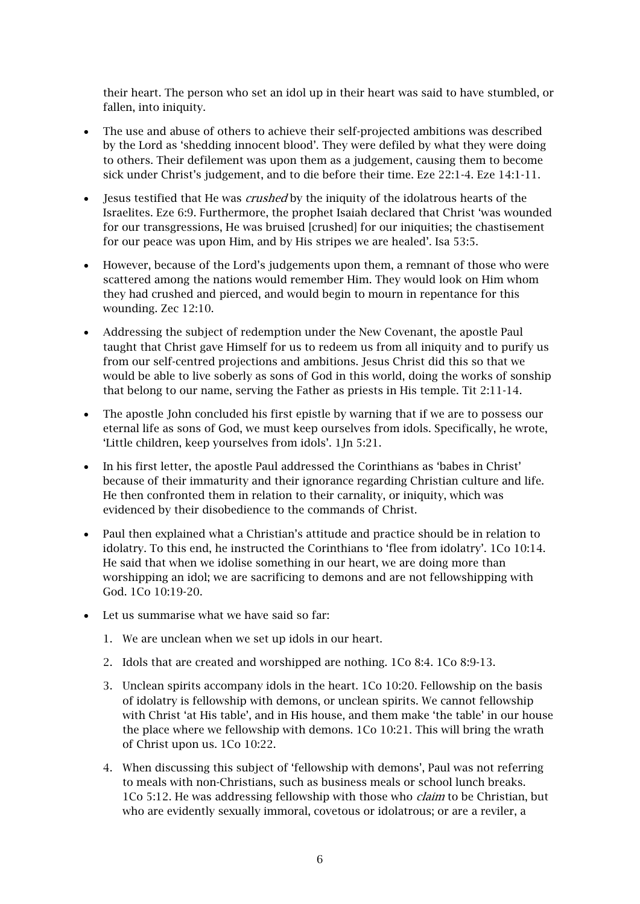their heart. The person who set an idol up in their heart was said to have stumbled, or fallen, into iniquity.

- The use and abuse of others to achieve their self-projected ambitions was described by the Lord as 'shedding innocent blood'. They were defiled by what they were doing to others. Their defilement was upon them as a judgement, causing them to become sick under Christ's judgement, and to die before their time. Eze 22:1-4. Eze 14:1-11.
- Jesus testified that He was *crushed* by the iniquity of the idolatrous hearts of the Israelites. Eze 6:9. Furthermore, the prophet Isaiah declared that Christ 'was wounded for our transgressions, He was bruised [crushed] for our iniquities; the chastisement for our peace was upon Him, and by His stripes we are healed'. Isa 53:5.
- However, because of the Lord's judgements upon them, a remnant of those who were scattered among the nations would remember Him. They would look on Him whom they had crushed and pierced, and would begin to mourn in repentance for this wounding. Zec 12:10.
- Addressing the subject of redemption under the New Covenant, the apostle Paul taught that Christ gave Himself for us to redeem us from all iniquity and to purify us from our self-centred projections and ambitions. Jesus Christ did this so that we would be able to live soberly as sons of God in this world, doing the works of sonship that belong to our name, serving the Father as priests in His temple. Tit 2:11-14.
- The apostle John concluded his first epistle by warning that if we are to possess our eternal life as sons of God, we must keep ourselves from idols. Specifically, he wrote, 'Little children, keep yourselves from idols'. 1Jn 5:21.
- In his first letter, the apostle Paul addressed the Corinthians as 'babes in Christ' because of their immaturity and their ignorance regarding Christian culture and life. He then confronted them in relation to their carnality, or iniquity, which was evidenced by their disobedience to the commands of Christ.
- Paul then explained what a Christian's attitude and practice should be in relation to idolatry. To this end, he instructed the Corinthians to 'flee from idolatry'. 1Co 10:14. He said that when we idolise something in our heart, we are doing more than worshipping an idol; we are sacrificing to demons and are not fellowshipping with God. 1Co 10:19-20.
- Let us summarise what we have said so far:
	- 1. We are unclean when we set up idols in our heart.
	- 2. Idols that are created and worshipped are nothing. 1Co 8:4. 1Co 8:9-13.
	- 3. Unclean spirits accompany idols in the heart. 1Co 10:20. Fellowship on the basis of idolatry is fellowship with demons, or unclean spirits. We cannot fellowship with Christ 'at His table', and in His house, and them make 'the table' in our house the place where we fellowship with demons. 1Co 10:21. This will bring the wrath of Christ upon us. 1Co 10:22.
	- 4. When discussing this subject of 'fellowship with demons', Paul was not referring to meals with non-Christians, such as business meals or school lunch breaks. 1Co 5:12. He was addressing fellowship with those who *claim* to be Christian, but who are evidently sexually immoral, covetous or idolatrous; or are a reviler, a